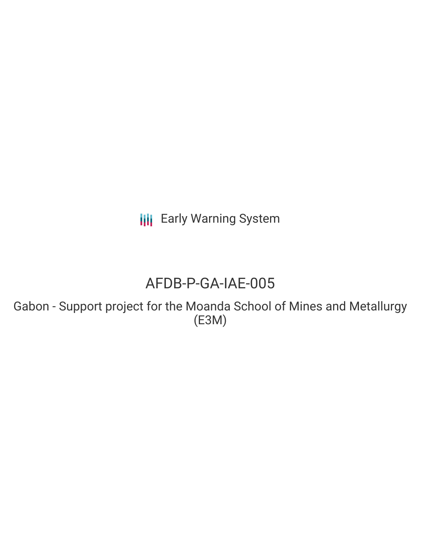**III** Early Warning System

# AFDB-P-GA-IAE-005

Gabon - Support project for the Moanda School of Mines and Metallurgy (E3M)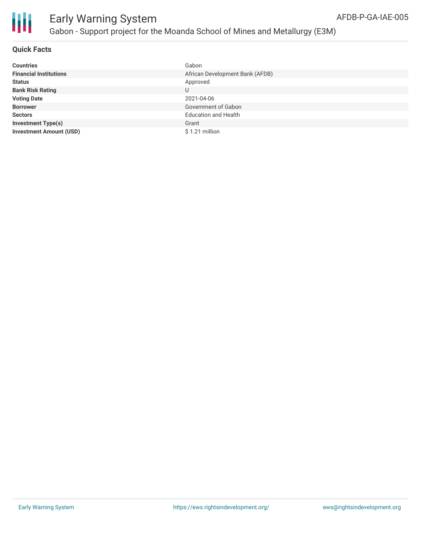

#### **Quick Facts**

| <b>Countries</b>               | Gabon                           |
|--------------------------------|---------------------------------|
| <b>Financial Institutions</b>  | African Development Bank (AFDB) |
| <b>Status</b>                  | Approved                        |
| <b>Bank Risk Rating</b>        | U                               |
| <b>Voting Date</b>             | 2021-04-06                      |
| <b>Borrower</b>                | Government of Gabon             |
| <b>Sectors</b>                 | <b>Education and Health</b>     |
| <b>Investment Type(s)</b>      | Grant                           |
| <b>Investment Amount (USD)</b> | \$1.21 million                  |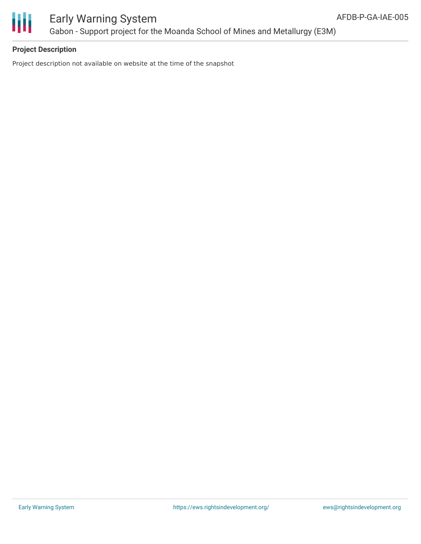



# Early Warning System Gabon - Support project for the Moanda School of Mines and Metallurgy (E3M)

## **Project Description**

Project description not available on website at the time of the snapshot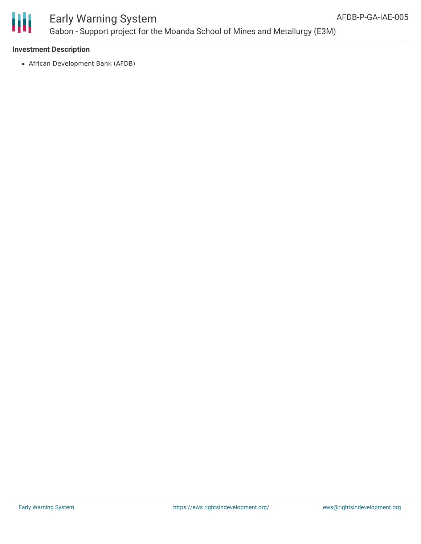

# Early Warning System Gabon - Support project for the Moanda School of Mines and Metallurgy (E3M)

### **Investment Description**

African Development Bank (AFDB)